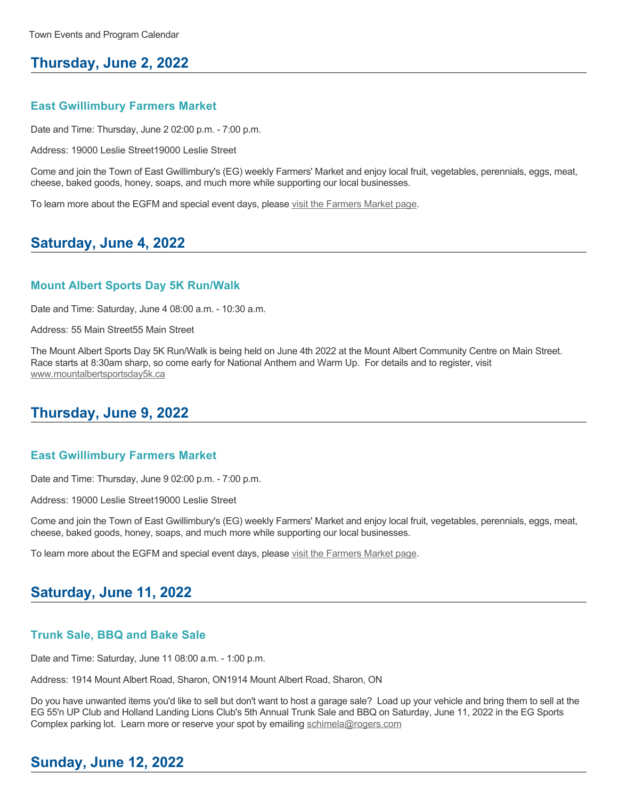# **Thursday, June 2, 2022**

### **East Gwillimbury Farmers Market**

Date and Time: Thursday, June 2 02:00 p.m. - 7:00 p.m.

Address: 19000 Leslie Street19000 Leslie Street

Come and join the Town of East Gwillimbury's (EG) weekly Farmers' Market and enjoy local fruit, vegetables, perennials, eggs, meat, cheese, baked goods, honey, soaps, and much more while supporting our local businesses.

To learn more about the EGFM and special event days, please [visit the Farmers Market page.](https://www.eastgwillimbury.ca/en/living-in-eg/farmers_-market.aspx)

# **Saturday, June 4, 2022**

### **Mount Albert Sports Day 5K Run/Walk**

Date and Time: Saturday, June 4 08:00 a.m. - 10:30 a.m.

Address: 55 Main Street55 Main Street

The Mount Albert Sports Day 5K Run/Walk is being held on June 4th 2022 at the Mount Albert Community Centre on Main Street. Race starts at 8:30am sharp, so come early for National Anthem and Warm Up. For details and to register, visit [www.mountalbertsportsday5k.ca](http://www.mountalbertsportsday5k.ca)

# **Thursday, June 9, 2022**

#### **East Gwillimbury Farmers Market**

Date and Time: Thursday, June 9 02:00 p.m. - 7:00 p.m.

Address: 19000 Leslie Street19000 Leslie Street

Come and join the Town of East Gwillimbury's (EG) weekly Farmers' Market and enjoy local fruit, vegetables, perennials, eggs, meat, cheese, baked goods, honey, soaps, and much more while supporting our local businesses.

To learn more about the EGFM and special event days, please [visit the Farmers Market page.](https://www.eastgwillimbury.ca/en/living-in-eg/farmers_-market.aspx)

### **Saturday, June 11, 2022**

#### **Trunk Sale, BBQ and Bake Sale**

Date and Time: Saturday, June 11 08:00 a.m. - 1:00 p.m.

Address: 1914 Mount Albert Road, Sharon, ON1914 Mount Albert Road, Sharon, ON

Do you have unwanted items you'd like to sell but don't want to host a garage sale? Load up your vehicle and bring them to sell at the EG 55'n UP Club and Holland Landing Lions Club's 5th Annual Trunk Sale and BBQ on Saturday, June 11, 2022 in the EG Sports Complex parking lot. Learn more or reserve your spot by emailing [schimela@rogers.com](mailto:schimela@rogers.com)

# **Sunday, June 12, 2022**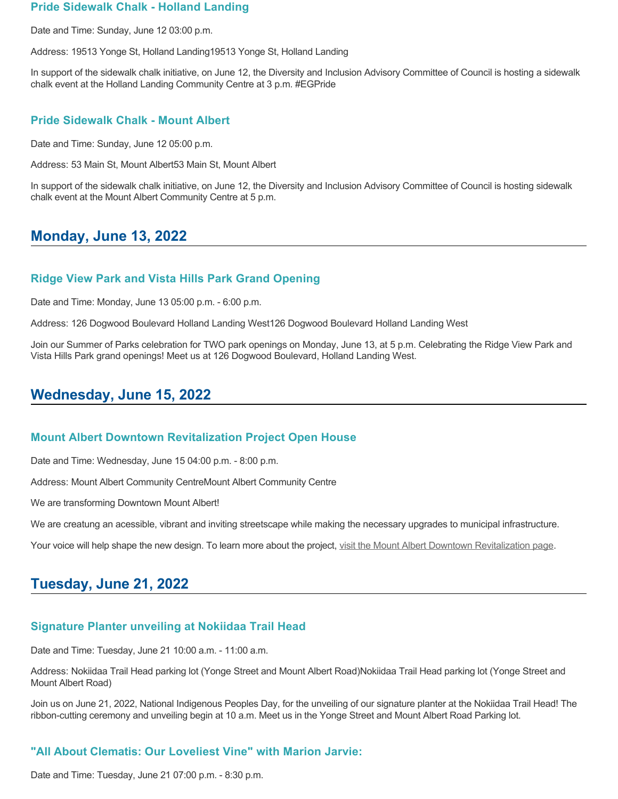### **Pride Sidewalk Chalk - Holland Landing**

Date and Time: Sunday, June 12 03:00 p.m.

Address: 19513 Yonge St, Holland Landing19513 Yonge St, Holland Landing

In support of the sidewalk chalk initiative, on June 12, the Diversity and Inclusion Advisory Committee of Council is hosting a sidewalk chalk event at the Holland Landing Community Centre at 3 p.m. #EGPride

### **Pride Sidewalk Chalk - Mount Albert**

Date and Time: Sunday, June 12 05:00 p.m.

Address: 53 Main St, Mount Albert53 Main St, Mount Albert

In support of the sidewalk chalk initiative, on June 12, the Diversity and Inclusion Advisory Committee of Council is hosting sidewalk chalk event at the Mount Albert Community Centre at 5 p.m.

# **Monday, June 13, 2022**

### **Ridge View Park and Vista Hills Park Grand Opening**

Date and Time: Monday, June 13 05:00 p.m. - 6:00 p.m.

Address: 126 Dogwood Boulevard Holland Landing West126 Dogwood Boulevard Holland Landing West

Join our Summer of Parks celebration for TWO park openings on Monday, June 13, at 5 p.m. Celebrating the Ridge View Park and Vista Hills Park grand openings! Meet us at 126 Dogwood Boulevard, Holland Landing West.

## **Wednesday, June 15, 2022**

#### **Mount Albert Downtown Revitalization Project Open House**

Date and Time: Wednesday, June 15 04:00 p.m. - 8:00 p.m.

Address: Mount Albert Community CentreMount Albert Community Centre

We are transforming Downtown Mount Albert!

We are creatung an acessible, vibrant and inviting streetscape while making the necessary upgrades to municipal infrastructure.

Your voice will help shape the new design. To learn more about the project, [visit the Mount Albert Downtown Revitalization page.](https://www.eastgwillimbury.ca/en/living-in-eg/mount-albert-downtown-revitalization.aspx)

# **Tuesday, June 21, 2022**

### **Signature Planter unveiling at Nokiidaa Trail Head**

Date and Time: Tuesday, June 21 10:00 a.m. - 11:00 a.m.

Address: Nokiidaa Trail Head parking lot (Yonge Street and Mount Albert Road)Nokiidaa Trail Head parking lot (Yonge Street and Mount Albert Road)

Join us on June 21, 2022, National Indigenous Peoples Day, for the unveiling of our signature planter at the Nokiidaa Trail Head! The ribbon-cutting ceremony and unveiling begin at 10 a.m. Meet us in the Yonge Street and Mount Albert Road Parking lot.

### **"All About Clematis: Our Loveliest Vine" with Marion Jarvie:**

Date and Time: Tuesday, June 21 07:00 p.m. - 8:30 p.m.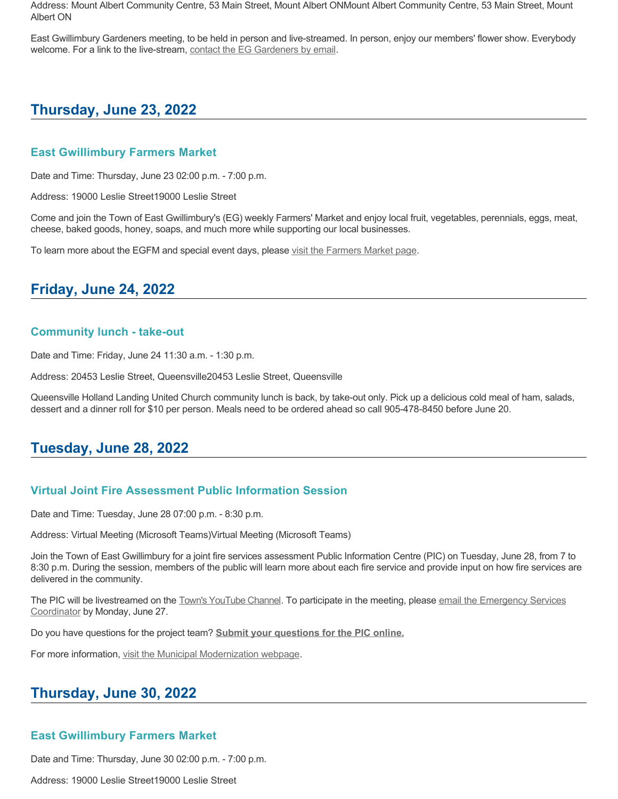Address: Mount Albert Community Centre, 53 Main Street, Mount Albert ONMount Albert Community Centre, 53 Main Street, Mount Albert ON

East Gwillimbury Gardeners meeting, to be held in person and live-streamed. In person, enjoy our members' flower show. Everybody welcome. For a link to the live-stream, [contact the EG Gardeners by email.](mailto:eggardeners@gmail.com)

# **Thursday, June 23, 2022**

### **East Gwillimbury Farmers Market**

Date and Time: Thursday, June 23 02:00 p.m. - 7:00 p.m.

Address: 19000 Leslie Street19000 Leslie Street

Come and join the Town of East Gwillimbury's (EG) weekly Farmers' Market and enjoy local fruit, vegetables, perennials, eggs, meat, cheese, baked goods, honey, soaps, and much more while supporting our local businesses.

To learn more about the EGFM and special event days, please [visit the Farmers Market page.](https://www.eastgwillimbury.ca/en/living-in-eg/farmers_-market.aspx)

## **Friday, June 24, 2022**

### **Community lunch - take-out**

Date and Time: Friday, June 24 11:30 a.m. - 1:30 p.m.

Address: 20453 Leslie Street, Queensville20453 Leslie Street, Queensville

Queensville Holland Landing United Church community lunch is back, by take-out only. Pick up a delicious cold meal of ham, salads, dessert and a dinner roll for \$10 per person. Meals need to be ordered ahead so call 905-478-8450 before June 20.

# **Tuesday, June 28, 2022**

### **Virtual Joint Fire Assessment Public Information Session**

Date and Time: Tuesday, June 28 07:00 p.m. - 8:30 p.m.

Address: Virtual Meeting (Microsoft Teams)Virtual Meeting (Microsoft Teams)

Join the Town of East Gwillimbury for a joint fire services assessment Public Information Centre (PIC) on Tuesday, June 28, from 7 to 8:30 p.m. During the session, members of the public will learn more about each fire service and provide input on how fire services are delivered in the community.

[The PIC will be livestreamed on the Town](mailto:emason@eastgwillimbury.ca)['](https://www.youtube.com/user/TownEastGwillimbury)[s YouTube Channel. To participate in the meeting, please email the Emergency Services](mailto:emason@eastgwillimbury.ca) Coordinator by Monday, June 27.

Do you have questions for the project team? **[Submit your questions for the PIC online.](https://www.surveymonkey.com/r/MNWBMPX)**

For more information, [visit the Municipal Modernization webpage](https://www.eastgwillimbury.ca/en/municipal-services/joint-fire-services-assessment.aspx).

# **Thursday, June 30, 2022**

### **East Gwillimbury Farmers Market**

Date and Time: Thursday, June 30 02:00 p.m. - 7:00 p.m.

Address: 19000 Leslie Street19000 Leslie Street